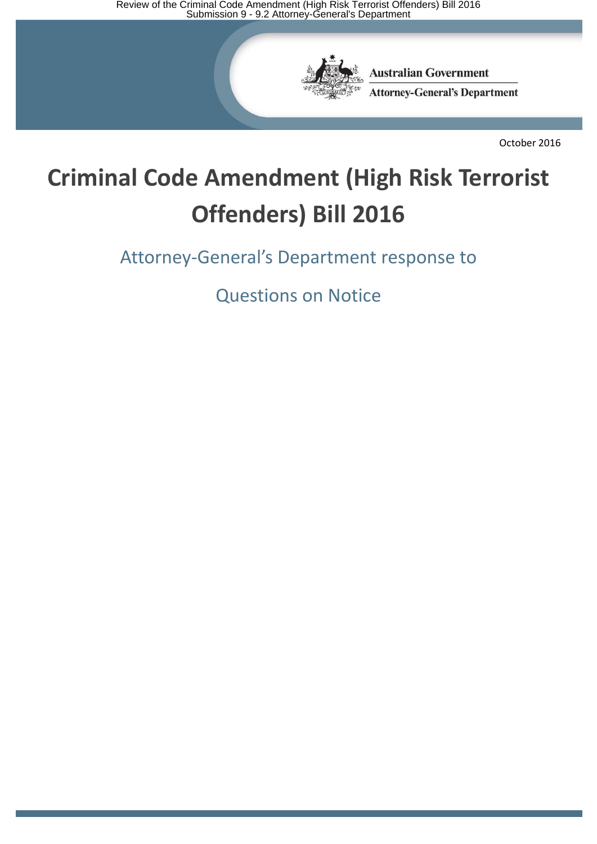Review of the Criminal Code Amendment (High Risk Terrorist Offenders) Bill 2016<br>Submission 9 - 9.2 Attorney-General's Department



**Australian Government Attorney-General's Department** 

October 2016

# **Criminal Code Amendment (High Risk Terrorist Offenders) Bill 2016**

Attorney-General's Department response to

Questions on Notice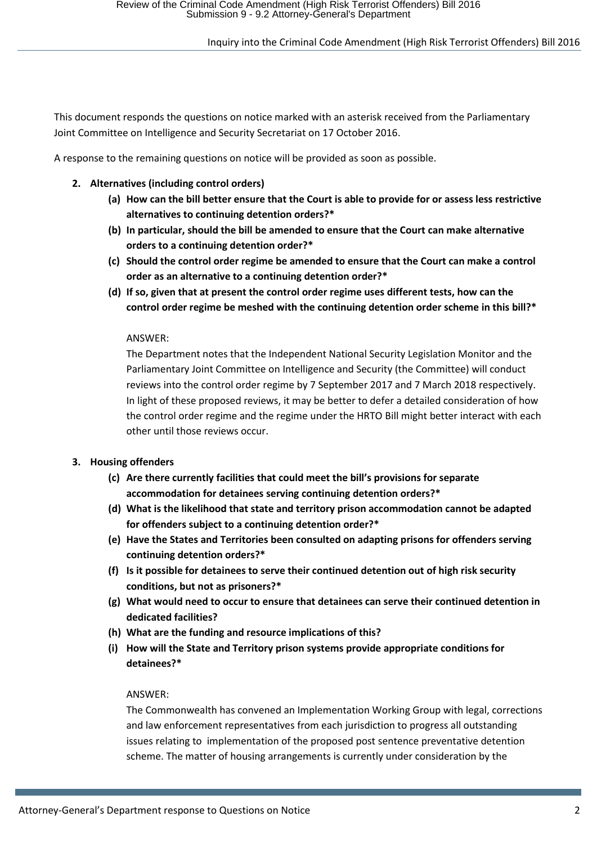This document responds the questions on notice marked with an asterisk received from the Parliamentary Joint Committee on Intelligence and Security Secretariat on 17 October 2016.

A response to the remaining questions on notice will be provided as soon as possible.

- **2. Alternatives (including control orders)**
	- **(a) How can the bill better ensure that the Court is able to provide for or assess less restrictive alternatives to continuing detention orders?\***
	- **(b) In particular, should the bill be amended to ensure that the Court can make alternative orders to a continuing detention order?\***
	- **(c) Should the control order regime be amended to ensure that the Court can make a control order as an alternative to a continuing detention order?\***
	- **(d) If so, given that at present the control order regime uses different tests, how can the control order regime be meshed with the continuing detention order scheme in this bill?\***

#### ANSWER:

The Department notes that the Independent National Security Legislation Monitor and the Parliamentary Joint Committee on Intelligence and Security (the Committee) will conduct reviews into the control order regime by 7 September 2017 and 7 March 2018 respectively. In light of these proposed reviews, it may be better to defer a detailed consideration of how the control order regime and the regime under the HRTO Bill might better interact with each other until those reviews occur.

# **3. Housing offenders**

- **(c) Are there currently facilities that could meet the bill's provisions for separate accommodation for detainees serving continuing detention orders?\***
- **(d) What is the likelihood that state and territory prison accommodation cannot be adapted for offenders subject to a continuing detention order?\***
- **(e) Have the States and Territories been consulted on adapting prisons for offenders serving continuing detention orders?\***
- **(f) Is it possible for detainees to serve their continued detention out of high risk security conditions, but not as prisoners?\***
- **(g) What would need to occur to ensure that detainees can serve their continued detention in dedicated facilities?**
- **(h) What are the funding and resource implications of this?**
- **(i) How will the State and Territory prison systems provide appropriate conditions for detainees?\***

#### ANSWER:

The Commonwealth has convened an Implementation Working Group with legal, corrections and law enforcement representatives from each jurisdiction to progress all outstanding issues relating to implementation of the proposed post sentence preventative detention scheme. The matter of housing arrangements is currently under consideration by the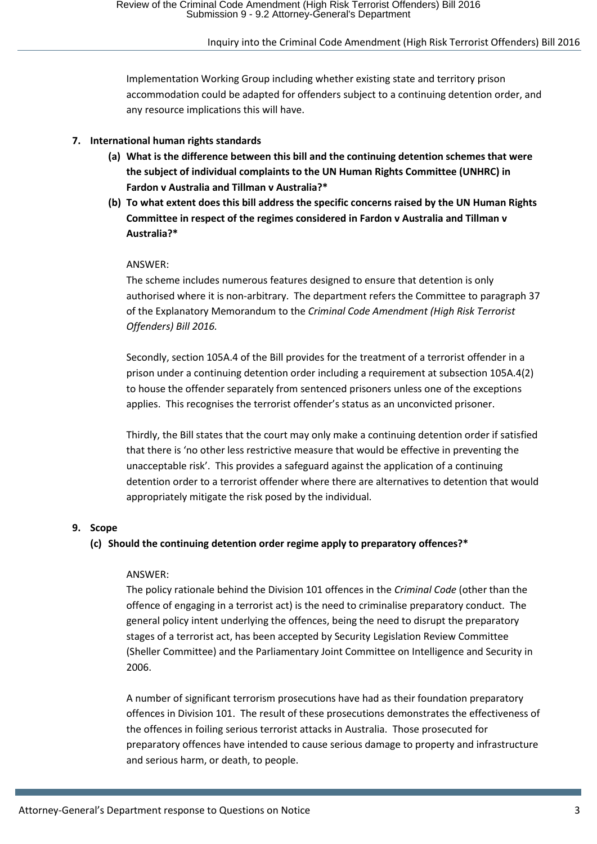Implementation Working Group including whether existing state and territory prison accommodation could be adapted for offenders subject to a continuing detention order, and any resource implications this will have.

# **7. International human rights standards**

- **(a) What is the difference between this bill and the continuing detention schemes that were the subject of individual complaints to the UN Human Rights Committee (UNHRC) in Fardon v Australia and Tillman v Australia?\***
- **(b) To what extent does this bill address the specific concerns raised by the UN Human Rights Committee in respect of the regimes considered in Fardon v Australia and Tillman v Australia?\***

#### ANSWER:

The scheme includes numerous features designed to ensure that detention is only authorised where it is non-arbitrary. The department refers the Committee to paragraph 37 of the Explanatory Memorandum to the *Criminal Code Amendment (High Risk Terrorist Offenders) Bill 2016.*

Secondly, section 105A.4 of the Bill provides for the treatment of a terrorist offender in a prison under a continuing detention order including a requirement at subsection 105A.4(2) to house the offender separately from sentenced prisoners unless one of the exceptions applies. This recognises the terrorist offender's status as an unconvicted prisoner.

Thirdly, the Bill states that the court may only make a continuing detention order if satisfied that there is 'no other less restrictive measure that would be effective in preventing the unacceptable risk'. This provides a safeguard against the application of a continuing detention order to a terrorist offender where there are alternatives to detention that would appropriately mitigate the risk posed by the individual.

#### **9. Scope**

# **(c) Should the continuing detention order regime apply to preparatory offences?\***

#### ANSWER:

The policy rationale behind the Division 101 offences in the *Criminal Code* (other than the offence of engaging in a terrorist act) is the need to criminalise preparatory conduct. The general policy intent underlying the offences, being the need to disrupt the preparatory stages of a terrorist act, has been accepted by Security Legislation Review Committee (Sheller Committee) and the Parliamentary Joint Committee on Intelligence and Security in 2006.

A number of significant terrorism prosecutions have had as their foundation preparatory offences in Division 101. The result of these prosecutions demonstrates the effectiveness of the offences in foiling serious terrorist attacks in Australia. Those prosecuted for preparatory offences have intended to cause serious damage to property and infrastructure and serious harm, or death, to people.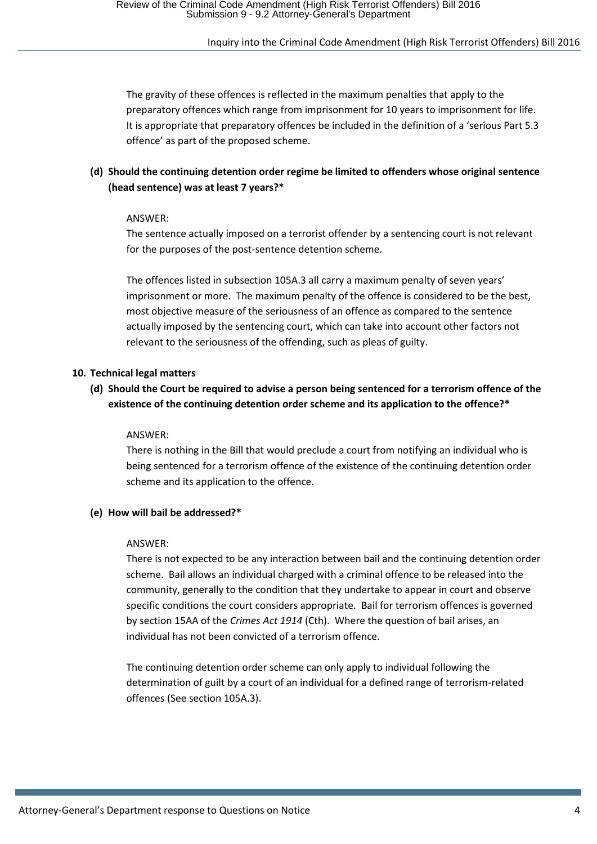The gravity of these offences is reflected in the maximum penalties that apply to the preparatory offences which range from imprisonment for 10 years to imprisonment for life. It is appropriate that preparatory offences be included in the definition of a 'serious Part 5.3 offence' as part of the proposed scheme.

# **(d) Should the continuing detention order regime be limited to offenders whose original sentence (head sentence) was at least 7 years?\***

#### ANSWER:

The sentence actually imposed on a terrorist offender by a sentencing court is not relevant for the purposes of the post-sentence detention scheme.

The offences listed in subsection 105A.3 all carry a maximum penalty of seven years' imprisonment or more. The maximum penalty of the offence is considered to be the best, most objective measure of the seriousness of an offence as compared to the sentence actually imposed by the sentencing court, which can take into account other factors not relevant to the seriousness of the offending, such as pleas of guilty.

# **10. Technical legal matters**

# **(d) Should the Court be required to advise a person being sentenced for a terrorism offence of the existence of the continuing detention order scheme and its application to the offence?\***

#### ANSWER:

There is nothing in the Bill that would preclude a court from notifying an individual who is being sentenced for a terrorism offence of the existence of the continuing detention order scheme and its application to the offence.

#### **(e) How will bail be addressed?\***

#### ANSWER:

There is not expected to be any interaction between bail and the continuing detention order scheme. Bail allows an individual charged with a criminal offence to be released into the community, generally to the condition that they undertake to appear in court and observe specific conditions the court considers appropriate. Bail for terrorism offences is governed by section 15AA of the *Crimes Act 1914* (Cth). Where the question of bail arises, an individual has not been convicted of a terrorism offence.

The continuing detention order scheme can only apply to individual following the determination of guilt by a court of an individual for a defined range of terrorism-related offences (See section 105A.3).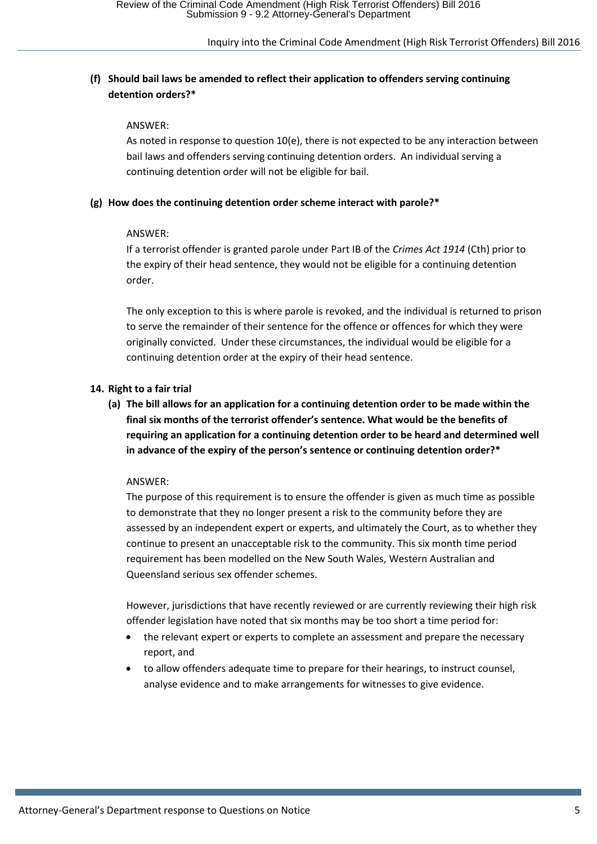# **(f) Should bail laws be amended to reflect their application to offenders serving continuing detention orders?\***

#### ANSWER:

As noted in response to question 10(e), there is not expected to be any interaction between bail laws and offenders serving continuing detention orders. An individual serving a continuing detention order will not be eligible for bail.

#### **(g) How does the continuing detention order scheme interact with parole?\***

#### ANSWER:

If a terrorist offender is granted parole under Part IB of the *Crimes Act 1914* (Cth) prior to the expiry of their head sentence, they would not be eligible for a continuing detention order.

The only exception to this is where parole is revoked, and the individual is returned to prison to serve the remainder of their sentence for the offence or offences for which they were originally convicted. Under these circumstances, the individual would be eligible for a continuing detention order at the expiry of their head sentence.

# **14. Right to a fair trial**

**(a) The bill allows for an application for a continuing detention order to be made within the final six months of the terrorist offender's sentence. What would be the benefits of requiring an application for a continuing detention order to be heard and determined well in advance of the expiry of the person's sentence or continuing detention order?\***

#### ANSWER:

The purpose of this requirement is to ensure the offender is given as much time as possible to demonstrate that they no longer present a risk to the community before they are assessed by an independent expert or experts, and ultimately the Court, as to whether they continue to present an unacceptable risk to the community. This six month time period requirement has been modelled on the New South Wales, Western Australian and Queensland serious sex offender schemes.

However, jurisdictions that have recently reviewed or are currently reviewing their high risk offender legislation have noted that six months may be too short a time period for:

- the relevant expert or experts to complete an assessment and prepare the necessary report, and
- to allow offenders adequate time to prepare for their hearings, to instruct counsel, analyse evidence and to make arrangements for witnesses to give evidence.